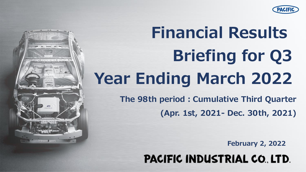

# **Financial Results Briefing for Q3 Year Ending March 2022**

**The 98th period:Cumulative Third Quarter (Apr. 1st, 2021- Dec. 30th, 2021)**

**February 2, 2022**

**PACIFIC INDUSTRIAL CO. LTD.** 

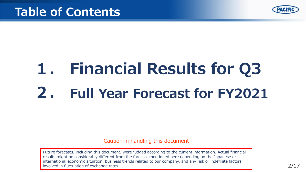

## **1. Financial Results for Q3 2. Full Year Forecast for FY2021**

Caution in handling this document

Future forecasts, including this document, were judged according to the current information. Actual financial results might be considerably different from the forecast mentioned here depending on the Japanese or international economic situation, business trends related to our company, and any risk or indefinite factors involved in fluctuation of exchange rates.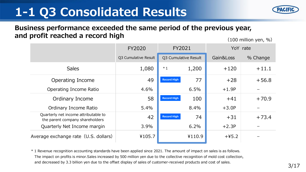## **1-1 Q3 Consolidated Results**



#### **Business performance exceeded the same period of the previous year, and profit reached a record high**

(100 million yen, %)

|                                                                         | <b>FY2020</b>        | FY2021               |        |           | YoY rate |
|-------------------------------------------------------------------------|----------------------|----------------------|--------|-----------|----------|
|                                                                         | Q3 Cumulative Result | Q3 Cumulative Result |        | Gain&Loss | % Change |
| <b>Sales</b>                                                            | 1,080                | $*1$                 | 1,200  | $+120$    | $+11.1$  |
| Operating Income                                                        | 49                   | <b>Record High</b>   | 77     | $+28$     | $+56.8$  |
| Operating Income Ratio                                                  | 4.6%                 |                      | 6.5%   | $+1.9P$   |          |
| Ordinary Income                                                         | 58                   | <b>Record High</b>   | 100    | $+41$     | $+70.9$  |
| Ordinary Income Ratio                                                   | 5.4%                 |                      | 8.4%   | $+3.0P$   |          |
| Quarterly net income attributable to<br>the parent company shareholders | 42                   | <b>Record High</b>   | 74     | $+31$     | $+73.4$  |
| Quarterly Net Income margin                                             | 3.9%                 |                      | 6.2%   | $+2.3P$   |          |
| Average exchange rate (U.S. dollars)                                    | ¥105.7               |                      | ¥110.9 | $+45.2$   |          |

\* 1 Revenue recognition accounting standards have been applied since 2021. The amount of impact on sales is as follows. The impact on profits is minor.Sales increased by 500 million yen due to the collective recognition of mold cost collection, and decreased by 3.3 billion yen due to the offset display of sales of customer-received products and cost of sales.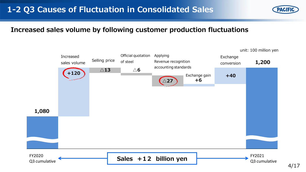

#### **Increased sales volume by following customer production fluctuations**



4/17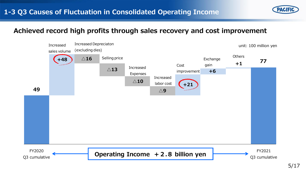

#### **Achieved record high profits through sales recovery and cost improvement**

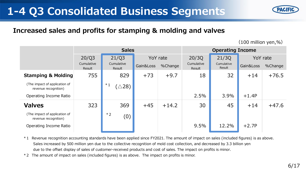## **1-4 Q3 Consolidated Business Segments**

Cumulative

\*1

Cumulative Result

revenue recognition) (△28)

(The impact of application of

#### **Increased sales and profits for stamping & molding and valves**

**Sales**

| <b>Valves</b>                                                                                                                                                                                                                                                                                                                                                                                      | 323 |      | 369 | $+45$ | $+14.2$ | 30   | 45    | $+14$   | $+47.6$ |
|----------------------------------------------------------------------------------------------------------------------------------------------------------------------------------------------------------------------------------------------------------------------------------------------------------------------------------------------------------------------------------------------------|-----|------|-----|-------|---------|------|-------|---------|---------|
| (The impact of application of<br>revenue recognition)                                                                                                                                                                                                                                                                                                                                              |     | $*2$ | (0) |       |         |      |       |         |         |
| Operating Income Ratio                                                                                                                                                                                                                                                                                                                                                                             |     |      |     |       |         | 9.5% | 12.2% | $+2.7P$ |         |
| *1 Revenue recognition accounting standards have been applied since FY2021. The amount of impact on sales (included figures) is as above.<br>Sales increased by 500 million yen due to the collective recognition of mold cost collection, and decreased by 3.3 billion yen<br>due to the offset display of sales of customer-received products and cost of sales. The impact on profits is minor. |     |      |     |       |         |      |       |         |         |

20/Q3 21/Q3 YoY rate 20/3Q 21/3Q

**Stamping & Molding** 755 829 +73 +9.7 18 32 +14 +76.5

Operating Income Ratio 2.5% 3.9% +1.4P

Imulative Gain&Loss %Change Cumulative Result

Result

Cumulative

**Operating Income**

(100 million yen,%)

YoY rate

Result Gain&Loss %Change

\*2 The amount of impact on sales (included figures) is as above. The impact on profits is minor.

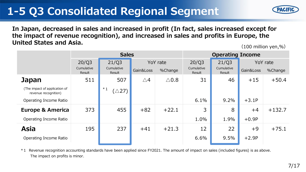## **1-5 Q3 Consolidated Regional Segment**



**In Japan, decreased in sales and increased in profit (In fact, sales increased except for the impact of revenue recognition), and increased in sales and profits in Europe, the United States and Asia.**

(100 million yen,%)

|                                                       |                               | <b>Sales</b>                  | <b>Operating Income</b>          |                 |                               |                               |                                  |          |
|-------------------------------------------------------|-------------------------------|-------------------------------|----------------------------------|-----------------|-------------------------------|-------------------------------|----------------------------------|----------|
|                                                       | 20/Q3<br>Cumulative<br>Result | 21/Q3<br>Cumulative<br>Result | YoY rate<br>Gain&Loss<br>%Change |                 | 20/Q3<br>Cumulative<br>Result | 21/Q3<br>Cumulative<br>Result | YoY rate<br>Gain&Loss<br>%Change |          |
| <b>Japan</b>                                          | 511                           | 507                           | $\triangle 4$                    | $\triangle$ 0.8 | 31                            | 46                            | $+15$                            | $+50.4$  |
| (The impact of application of<br>revenue recognition) |                               | $*1$<br>$(\triangle 27)$      |                                  |                 |                               |                               |                                  |          |
| Operating Income Ratio                                |                               |                               |                                  |                 | 6.1%                          | 9.2%                          | $+3.1P$                          |          |
| <b>Europe &amp; America</b>                           | 373                           | 455                           | $+82$                            | $+22.1$         | 3                             | 8                             | $+4$                             | $+132.7$ |
| Operating Income Ratio                                |                               |                               |                                  |                 | 1.0%                          | 1.9%                          | $+0.9P$                          |          |
| <b>Asia</b>                                           | 195                           | 237                           | $+41$                            | $+21.3$         | 12                            | 22                            | $+9$                             | $+75.1$  |
| Operating Income Ratio                                |                               |                               |                                  |                 | 6.6%                          | 9.5%                          | $+2.9P$                          |          |

\*1 Revenue recognition accounting standards have been applied since FY2021. The amount of impact on sales (included figures) is as above. The impact on profits is minor.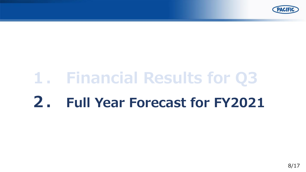

## **1. Financial Results for Q3**

## **2. Full Year Forecast for FY2021**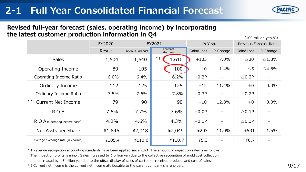### **2-1 Full Year Consolidated Financial Forecast**



 $(100 \text{ million year } %)$ 

#### **Revised full-year forecast (sales, operating income) by incorporating the latest customer production information in Q4**

|                                    | FY2020 |                   | FY2021                |           | YoY rate        | <b>Previous Forecast Rate</b> |                  |
|------------------------------------|--------|-------------------|-----------------------|-----------|-----------------|-------------------------------|------------------|
|                                    | Result | Previous Forecast | Forecast<br>this time | Gain&Loss | %Change         | Gain&Loss                     | %Change          |
| <b>Sales</b>                       | 1,504  | 1,640             | $*1$<br>1,610         | $+105$    | 7.0%            | $\triangle 30$                | $\triangle$ 1.8% |
| Operating Income                   | 89     | 105               | 100                   | $+10$     | 11.4%           | $\triangle$ 5                 | $\triangle$ 4.8% |
| Operating Income Ratio             | 6.0%   | 6.4%              | 6.2%                  | $+0.2P$   | —               | $\triangle$ 0.2P              |                  |
| Ordinary Income                    | 112    | 125               | 125                   | $+12$     | 11.4%           | $+0$                          | 0.0%             |
| Ordinary Income Ratio              | 7.5%   | 7.6%              | 7.8%                  | $+0.3P$   | $\qquad \qquad$ | $+0.2P$                       |                  |
| $*2$<br><b>Current Net Income</b>  | 79     | 90                | 90                    | $+10$     | 12.8%           | $+0$                          | 0.0%             |
| <b>ROE</b>                         | 7.6%   | 7.7%              | 7.6%                  | $+0.0P$   |                 | $\triangle$ 0.1P              |                  |
| $R$ O $A$ (Operating income basis) | 4.2%   | 4.6%              | 4.3%                  | $+0.1P$   |                 | $\triangle$ 0.3P              |                  |
| Net Assts per Share                | ¥1,846 | 42,018            | ¥2,049                | ¥203      | 11.0%           | $+431$                        | 1.5%             |
| Average exchange rate (US dollars) | ¥105.4 | ¥110.0            | ¥110.7                | 45.3      |                 | 40.7                          |                  |

\* 1 Revenue recognition accounting standards have been applied since 2021. The amount of impact on sales is as follows. The impact on profits is minor. Sales increased by 1 billion yen due to the collective recognition of mold cost collection,

and decreased by 4.5 billion yen due to the offset display of sales of customer-received products and cost of sales.

\* 2 Current net income is the current net income attributable to the parent company shareholders.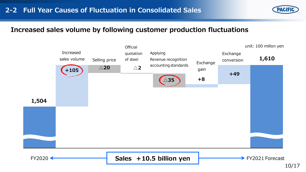

#### **Increased sales volume by following customer production fluctuations**

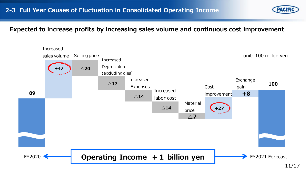#### **Expected to increase profits by increasing sales volume and continuous cost improvement**

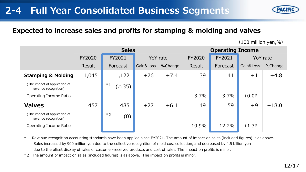### **2-4 Full Year Consolidated Business Segments**

#### **Expected to increase sales and profits for stamping & molding and valves**

(100 million yen,%)

|                                                       |               | <b>Sales</b>             | <b>Operating Income</b> |          |        |          |           |         |
|-------------------------------------------------------|---------------|--------------------------|-------------------------|----------|--------|----------|-----------|---------|
|                                                       | <b>FY2020</b> | FY2021                   |                         | YoY rate |        | FY2021   | YoY rate  |         |
|                                                       | Result        | Forecast                 | Gain&Loss               | %Change  | Result | Forecast | Gain&Loss | %Change |
| <b>Stamping &amp; Molding</b>                         | 1,045         | 1,122                    | $+76$                   | $+7.4$   | 39     | 41       | $+1$      | $+4.8$  |
| (The impact of application of<br>revenue recognition) |               | $*1$<br>$(\triangle 35)$ |                         |          |        |          |           |         |
| Operating Income Ratio                                |               |                          |                         |          | 3.7%   | 3.7%     | $+0.0P$   |         |
| <b>Valves</b>                                         | 457           | 485                      | $+27$                   | $+6.1$   | 49     | 59       | $+9$      | $+18.0$ |
| (The impact of application of<br>revenue recognition) |               | $*2$<br>(0)              |                         |          |        |          |           |         |
| Operating Income Ratio                                |               |                          |                         |          | 10.9%  | 12.2%    | $+1.3P$   |         |

\*1 Revenue recognition accounting standards have been applied since FY2021. The amount of impact on sales (included figures) is as above. Sales increased by 900 million yen due to the collective recognition of mold cost collection, and decreased by 4.5 billion yen due to the offset display of sales of customer-received products and cost of sales. The impact on profits is minor.

\*2 The amount of impact on sales (included figures) is as above. The impact on profits is minor.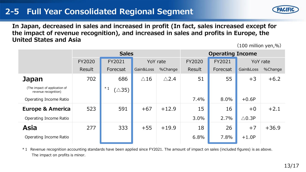#### **2-5 Full Year Consolidated Regional Segment**



**In Japan, decreased in sales and increased in profit (In fact, sales increased except for the impact of revenue recognition), and increased in sales and profits in Europe, the United States and Asia**

(100 million yen,%)

|                                                       |               | <b>Sales</b>            | <b>Operating Income</b> |                 |               |          |                  |         |
|-------------------------------------------------------|---------------|-------------------------|-------------------------|-----------------|---------------|----------|------------------|---------|
|                                                       | <b>FY2020</b> | FY2021                  | YoY rate                |                 | <b>FY2020</b> | FY2021   | YoY rate         |         |
|                                                       | Result        | Forecsat                | Gain&Loss               | %Change         | Result        | Forecsat | Gain&Loss        | %Change |
| <b>Japan</b>                                          | 702           | 686                     | $\triangle$ 16          | $\triangle$ 2.4 | 51            | 55       | $+3$             | $+6.2$  |
| (The impact of application of<br>revenue recognition) |               | $*1$<br>$\triangle$ 35) |                         |                 |               |          |                  |         |
| Operating Income Ratio                                |               |                         |                         |                 | 7.4%          | 8.0%     | $+0.6P$          |         |
| <b>Europe &amp; America</b>                           | 523           | 591                     | $+67$                   | $+12.9$         | 15            | 16       | $+0$             | $+2.1$  |
| Operating Income Ratio                                |               |                         |                         |                 | 3.0%          | 2.7%     | $\triangle$ 0.3P |         |
| <b>Asia</b>                                           | 277           | 333                     | $+55$                   | $+19.9$         | 18            | 26       | $+7$             | $+36.9$ |
| Operating Income Ratio                                |               |                         |                         |                 | 6.8%          | 7.8%     | $+1.0P$          |         |

\*1 Revenue recognition accounting standards have been applied since FY2021. The amount of impact on sales (included figures) is as above. The impact on profits is minor.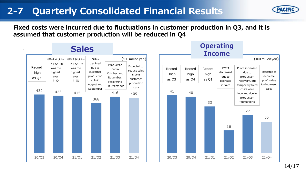### **2-7 Quarterly Consolidated Financial Results**



**Fixed costs were incurred due to fluctuations in customer production in Q3, and it is assumed that customer production will be reduced in Q4**





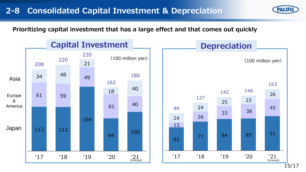

**Prioritizing capital investment that has a large effect and that comes out quickly**



15/17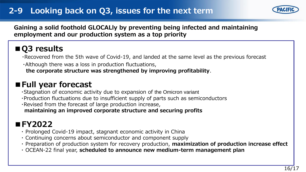#### **2-9 Looking back on Q3, issues for the next term**



**Gaining a solid foothold GLOCALly by preventing being infected and maintaining employment and our production system as a top priority**

### **■Q3 results**

・Recovered from the 5th wave of Covid-19, and landed at the same level as the previous forecast

・Although there was a loss in production fluctuations,

**the corporate structure was strengthened by improving profitability**.

#### **■Full year forecast**

・Stagnation of economic activity due to expansion of the Omicron variant

・Production fluctuations due to insufficient supply of parts such as semiconductors

・Revised from the forecast of large production increase,

**maintaining an improved corporate structure and securing profits**

### **■FY2022**

- ・ Prolonged Covid-19 impact, stagnant economic activity in China
- ・ Continuing concerns about semiconductor and component supply
- ・ Preparation of production system for recovery production, **maximization of production increase effect**
- ・ OCEAN-22 final year, **scheduled to announce new medium-term management plan**